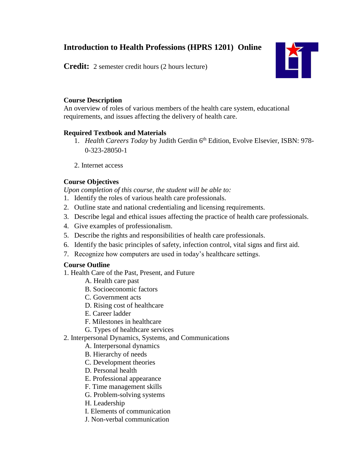# **Introduction to Health Professions (HPRS 1201) Online**

**Credit:** 2 semester credit hours (2 hours lecture)



## **Course Description**

An overview of roles of various members of the health care system, educational requirements, and issues affecting the delivery of health care.

## **Required Textbook and Materials**

- 1. *Health Careers Today* by Judith Gerdin 6<sup>th</sup> Edition, Evolve Elsevier, ISBN: 978-0-323-28050-1
- 2. Internet access

## **Course Objectives**

*Upon completion of this course, the student will be able to:*

- 1. Identify the roles of various health care professionals.
- 2. Outline state and national credentialing and licensing requirements.
- 3. Describe legal and ethical issues affecting the practice of health care professionals.
- 4. Give examples of professionalism.
- 5. Describe the rights and responsibilities of health care professionals.
- 6. Identify the basic principles of safety, infection control, vital signs and first aid.
- 7. Recognize how computers are used in today's healthcare settings.

## **Course Outline**

- 1. Health Care of the Past, Present, and Future
	- A. Health care past
	- B. Socioeconomic factors
	- C. Government acts
	- D. Rising cost of healthcare
	- E. Career ladder
	- F. Milestones in healthcare
	- G. Types of healthcare services
- 2. Interpersonal Dynamics, Systems, and Communications
	- A. Interpersonal dynamics
	- B. Hierarchy of needs
	- C. Development theories
	- D. Personal health
	- E. Professional appearance
	- F. Time management skills
	- G. Problem-solving systems
	- H. Leadership
	- I. Elements of communication
	- J. Non-verbal communication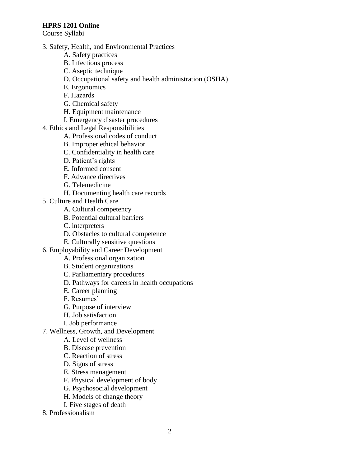Course Syllabi

- 3. Safety, Health, and Environmental Practices
	- A. Safety practices
	- B. Infectious process
	- C. Aseptic technique
	- D. Occupational safety and health administration (OSHA)
	- E. Ergonomics
	- F. Hazards
	- G. Chemical safety
	- H. Equipment maintenance
	- I. Emergency disaster procedures
- 4. Ethics and Legal Responsibilities
	- A. Professional codes of conduct
	- B. Improper ethical behavior
	- C. Confidentiality in health care
	- D. Patient's rights
	- E. Informed consent
	- F. Advance directives
	- G. Telemedicine
	- H. Documenting health care records
- 5. Culture and Health Care
	- A. Cultural competency
	- B. Potential cultural barriers
	- C. interpreters
	- D. Obstacles to cultural competence
	- E. Culturally sensitive questions
- 6. Employability and Career Development
	- A. Professional organization
		- B. Student organizations
		- C. Parliamentary procedures
		- D. Pathways for careers in health occupations
		- E. Career planning
		- F. Resumes'
		- G. Purpose of interview
		- H. Job satisfaction
		- I. Job performance
- 7. Wellness, Growth, and Development
	- A. Level of wellness
	- B. Disease prevention
	- C. Reaction of stress
	- D. Signs of stress
	- E. Stress management
	- F. Physical development of body
	- G. Psychosocial development
	- H. Models of change theory
	- I. Five stages of death
- 8. Professionalism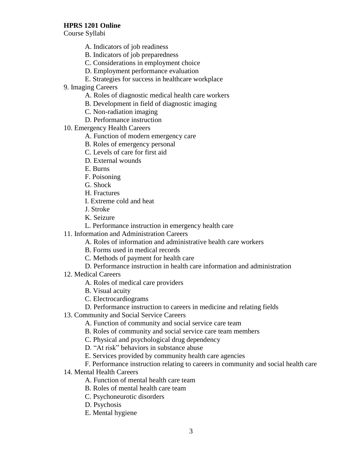Course Syllabi

- A. Indicators of job readiness
- B. Indicators of job preparedness
- C. Considerations in employment choice
- D. Employment performance evaluation
- E. Strategies for success in healthcare workplace
- 9. Imaging Careers
	- A. Roles of diagnostic medical health care workers
	- B. Development in field of diagnostic imaging
	- C. Non-radiation imaging
	- D. Performance instruction
- 10. Emergency Health Careers
	- A. Function of modern emergency care
	- B. Roles of emergency personal
	- C. Levels of care for first aid
	- D. External wounds
	- E. Burns
	- F. Poisoning
	- G. Shock
	- H. Fractures
	- I. Extreme cold and heat
	- J. Stroke
	- K. Seizure
	- L. Performance instruction in emergency health care
- 11. Information and Administration Careers
	- A. Roles of information and administrative health care workers
	- B. Forms used in medical records
	- C. Methods of payment for health care
	- D. Performance instruction in health care information and administration
- 12. Medical Careers
	- A. Roles of medical care providers
	- B. Visual acuity
	- C. Electrocardiograms
	- D. Performance instruction to careers in medicine and relating fields
- 13. Community and Social Service Careers
	- A. Function of community and social service care team
	- B. Roles of community and social service care team members
	- C. Physical and psychological drug dependency
	- D. "At risk" behaviors in substance abuse
	- E. Services provided by community health care agencies
	- F. Performance instruction relating to careers in community and social health care
- 14. Mental Health Careers
	- A. Function of mental health care team
	- B. Roles of mental health care team
	- C. Psychoneurotic disorders
	- D. Psychosis
	- E. Mental hygiene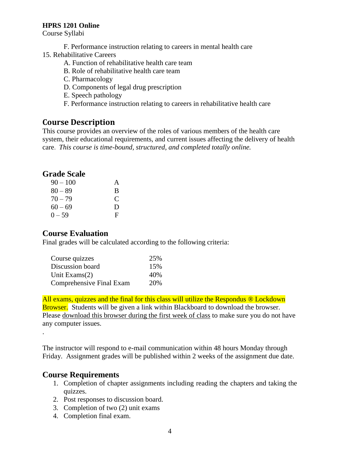Course Syllabi

- F. Performance instruction relating to careers in mental health care
- 15. Rehabilitative Careers
	- A. Function of rehabilitative health care team
	- B. Role of rehabilitative health care team
	- C. Pharmacology
	- D. Components of legal drug prescription
	- E. Speech pathology
	- F. Performance instruction relating to careers in rehabilitative health care

## **Course Description**

This course provides an overview of the roles of various members of the health care system, their educational requirements, and current issues affecting the delivery of health care. *This course is time-bound, structured, and completed totally online.*

## **Grade Scale**

| $90 - 100$ | A |
|------------|---|
| $80 - 89$  | B |
| $70 - 79$  | € |
| $60 - 69$  | Ð |
| $0 - 59$   | F |

## **Course Evaluation**

Final grades will be calculated according to the following criteria:

| Course quizzes           | 25% |
|--------------------------|-----|
| Discussion board         | 15% |
| Unit Exams(2)            | 40% |
| Comprehensive Final Exam | 20% |

All exams, quizzes and the final for this class will utilize the Respondus ® Lockdown **Browser.** Students will be given a link within Blackboard to download the browser. Please download this browser during the first week of class to make sure you do not have any computer issues.

The instructor will respond to e-mail communication within 48 hours Monday through Friday. Assignment grades will be published within 2 weeks of the assignment due date.

## **Course Requirements**

.

- 1. Completion of chapter assignments including reading the chapters and taking the quizzes.
- 2. Post responses to discussion board.
- 3. Completion of two (2) unit exams
- 4. Completion final exam.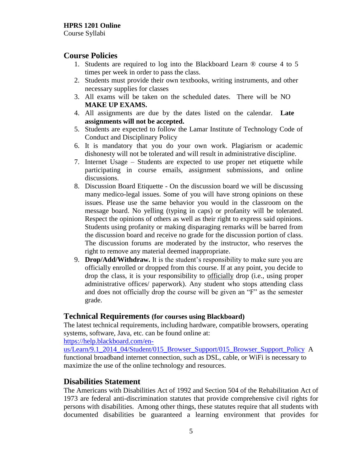Course Syllabi

## **Course Policies**

- 1. Students are required to log into the Blackboard Learn ® course 4 to 5 times per week in order to pass the class.
- 2. Students must provide their own textbooks, writing instruments, and other necessary supplies for classes
- 3. All exams will be taken on the scheduled dates. There will be NO **MAKE UP EXAMS.**
- 4. All assignments are due by the dates listed on the calendar. **Late assignments will not be accepted.**
- 5. Students are expected to follow the Lamar Institute of Technology Code of Conduct and Disciplinary Policy
- 6. It is mandatory that you do your own work. Plagiarism or academic dishonesty will not be tolerated and will result in administrative discipline.
- 7. Internet Usage Students are expected to use proper net etiquette while participating in course emails, assignment submissions, and online discussions.
- 8. Discussion Board Etiquette On the discussion board we will be discussing many medico-legal issues. Some of you will have strong opinions on these issues. Please use the same behavior you would in the classroom on the message board. No yelling (typing in caps) or profanity will be tolerated. Respect the opinions of others as well as their right to express said opinions. Students using profanity or making disparaging remarks will be barred from the discussion board and receive no grade for the discussion portion of class. The discussion forums are moderated by the instructor, who reserves the right to remove any material deemed inappropriate.
- 9. **Drop/Add/Withdraw.** It is the student's responsibility to make sure you are officially enrolled or dropped from this course. If at any point, you decide to drop the class, it is your responsibility to officially drop (i.e., using proper administrative offices/ paperwork). Any student who stops attending class and does not officially drop the course will be given an "F" as the semester grade.

#### **Technical Requirements (for courses using Blackboard)**

The latest technical requirements, including hardware, compatible browsers, operating systems, software, Java, etc. can be found online at:

[https://help.blackboard.com/en-](https://help.blackboard.com/en-us/Learn/9.1_2014_04/Student/015_Browser_Support/015_Browser_Support_Policy)

[us/Learn/9.1\\_2014\\_04/Student/015\\_Browser\\_Support/015\\_Browser\\_Support\\_Policy](https://help.blackboard.com/en-us/Learn/9.1_2014_04/Student/015_Browser_Support/015_Browser_Support_Policy) A functional broadband internet connection, such as DSL, cable, or WiFi is necessary to maximize the use of the online technology and resources.

## **Disabilities Statement**

The Americans with Disabilities Act of 1992 and Section 504 of the Rehabilitation Act of 1973 are federal anti-discrimination statutes that provide comprehensive civil rights for persons with disabilities. Among other things, these statutes require that all students with documented disabilities be guaranteed a learning environment that provides for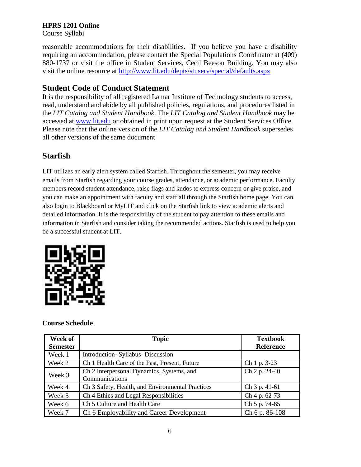Course Syllabi

reasonable accommodations for their disabilities. If you believe you have a disability requiring an accommodation, please contact the Special Populations Coordinator at (409) 880-1737 or visit the office in Student Services, Cecil Beeson Building. You may also visit the online resource at<http://www.lit.edu/depts/stuserv/special/defaults.aspx>

## **Student Code of Conduct Statement**

It is the responsibility of all registered Lamar Institute of Technology students to access, read, understand and abide by all published policies, regulations, and procedures listed in the *LIT Catalog and Student Handbook*. The *LIT Catalog and Student Handbook* may be accessed at [www.lit.edu](http://www.lit.edu/) or obtained in print upon request at the Student Services Office. Please note that the online version of the *LIT Catalog and Student Handbook* supersedes all other versions of the same document

# **Starfish**

LIT utilizes an early alert system called Starfish. Throughout the semester, you may receive emails from Starfish regarding your course grades, attendance, or academic performance. Faculty members record student attendance, raise flags and kudos to express concern or give praise, and you can make an appointment with faculty and staff all through the Starfish home page. You can also login to Blackboard or MyLIT and click on the Starfish link to view academic alerts and detailed information. It is the responsibility of the student to pay attention to these emails and information in Starfish and consider taking the recommended actions. Starfish is used to help you be a successful student at LIT.



## **Course Schedule**

| Week of<br><b>Semester</b> | <b>Topic</b>                                                | <b>Textbook</b><br><b>Reference</b> |
|----------------------------|-------------------------------------------------------------|-------------------------------------|
| Week 1                     | Introduction-Syllabus-Discussion                            |                                     |
| Week 2                     | Ch 1 Health Care of the Past, Present, Future               | Ch 1 p. 3-23                        |
| Week 3                     | Ch 2 Interpersonal Dynamics, Systems, and<br>Communications | Ch 2 p. 24-40                       |
| Week 4                     | Ch 3 Safety, Health, and Environmental Practices            | Ch 3 p. 41-61                       |
| Week 5                     | Ch 4 Ethics and Legal Responsibilities                      | Ch 4 p. 62-73                       |
| Week 6                     | Ch 5 Culture and Health Care                                | Ch 5 p. 74-85                       |
| Week 7                     | Ch 6 Employability and Career Development                   | Ch 6 p. 86-108                      |